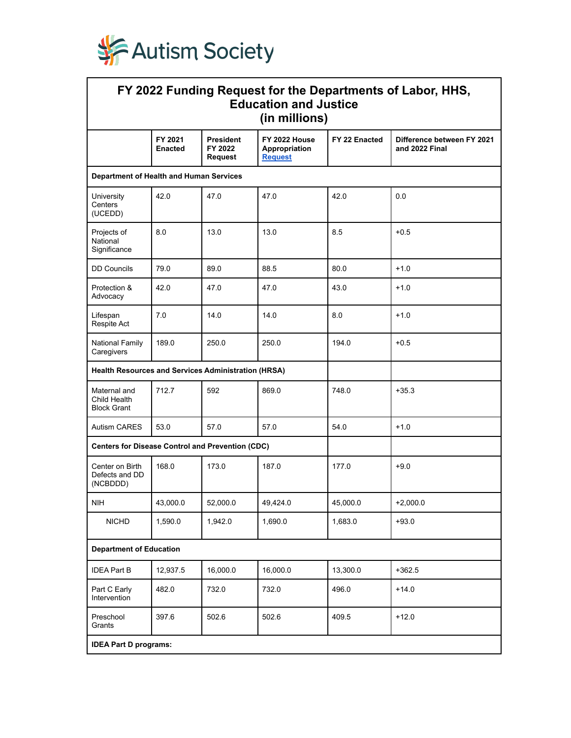

| FY 2022 Funding Request for the Departments of Labor, HHS,<br><b>Education and Justice</b><br>(in millions) |                           |                                        |                                                  |               |                                              |  |  |  |  |
|-------------------------------------------------------------------------------------------------------------|---------------------------|----------------------------------------|--------------------------------------------------|---------------|----------------------------------------------|--|--|--|--|
|                                                                                                             | FY 2021<br><b>Enacted</b> | <b>President</b><br>FY 2022<br>Request | FY 2022 House<br>Appropriation<br><b>Request</b> | FY 22 Enacted | Difference between FY 2021<br>and 2022 Final |  |  |  |  |
| Department of Health and Human Services                                                                     |                           |                                        |                                                  |               |                                              |  |  |  |  |
| University<br>Centers<br>(UCEDD)                                                                            | 42.0                      | 47.0                                   | 47.0                                             | 42.0          | 0.0                                          |  |  |  |  |
| Projects of<br>National<br>Significance                                                                     | 8.0                       | 13.0                                   | 13.0                                             | 8.5           | $+0.5$                                       |  |  |  |  |
| <b>DD Councils</b>                                                                                          | 79.0                      | 89.0                                   | 88.5                                             | 80.0          | $+1.0$                                       |  |  |  |  |
| Protection &<br>Advocacy                                                                                    | 42.0                      | 47.0                                   | 47.0                                             | 43.0          | $+1.0$                                       |  |  |  |  |
| Lifespan<br>Respite Act                                                                                     | 7.0                       | 14.0                                   | 14.0                                             | 8.0           | $+1.0$                                       |  |  |  |  |
| National Family<br>Caregivers                                                                               | 189.0                     | 250.0                                  | 250.0                                            | 194.0         | $+0.5$                                       |  |  |  |  |
| <b>Health Resources and Services Administration (HRSA)</b>                                                  |                           |                                        |                                                  |               |                                              |  |  |  |  |
| Maternal and<br>Child Health<br><b>Block Grant</b>                                                          | 712.7                     | 592                                    | 869.0                                            | 748.0         | $+35.3$                                      |  |  |  |  |
| Autism CARES                                                                                                | 53.0                      | 57.0                                   | 57.0                                             | 54.0          | $+1.0$                                       |  |  |  |  |
| <b>Centers for Disease Control and Prevention (CDC)</b>                                                     |                           |                                        |                                                  |               |                                              |  |  |  |  |
| Center on Birth<br>Defects and DD<br>(NCBDDD)                                                               | 168.0                     | 173.0                                  | 187.0                                            | 177.0         | $+9.0$                                       |  |  |  |  |
| <b>NIH</b>                                                                                                  | 43,000.0                  | 52,000.0                               | 49,424.0                                         | 45,000.0      | $+2,000.0$                                   |  |  |  |  |
| <b>NICHD</b>                                                                                                | 1,590.0                   | 1,942.0                                | 1,690.0                                          | 1,683.0       | $+93.0$                                      |  |  |  |  |
| <b>Department of Education</b>                                                                              |                           |                                        |                                                  |               |                                              |  |  |  |  |
| <b>IDEA Part B</b>                                                                                          | 12,937.5                  | 16,000.0                               | 16,000.0                                         | 13,300.0      | $+362.5$                                     |  |  |  |  |
| Part C Early<br>Intervention                                                                                | 482.0                     | 732.0                                  | 732.0                                            | 496.0         | $+14.0$                                      |  |  |  |  |
| Preschool<br>Grants                                                                                         | 397.6                     | 502.6                                  | 502.6                                            | 409.5         | $+12.0$                                      |  |  |  |  |
| <b>IDEA Part D programs:</b>                                                                                |                           |                                        |                                                  |               |                                              |  |  |  |  |